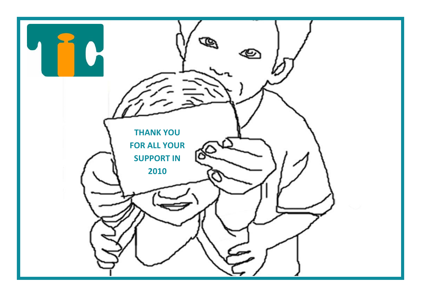